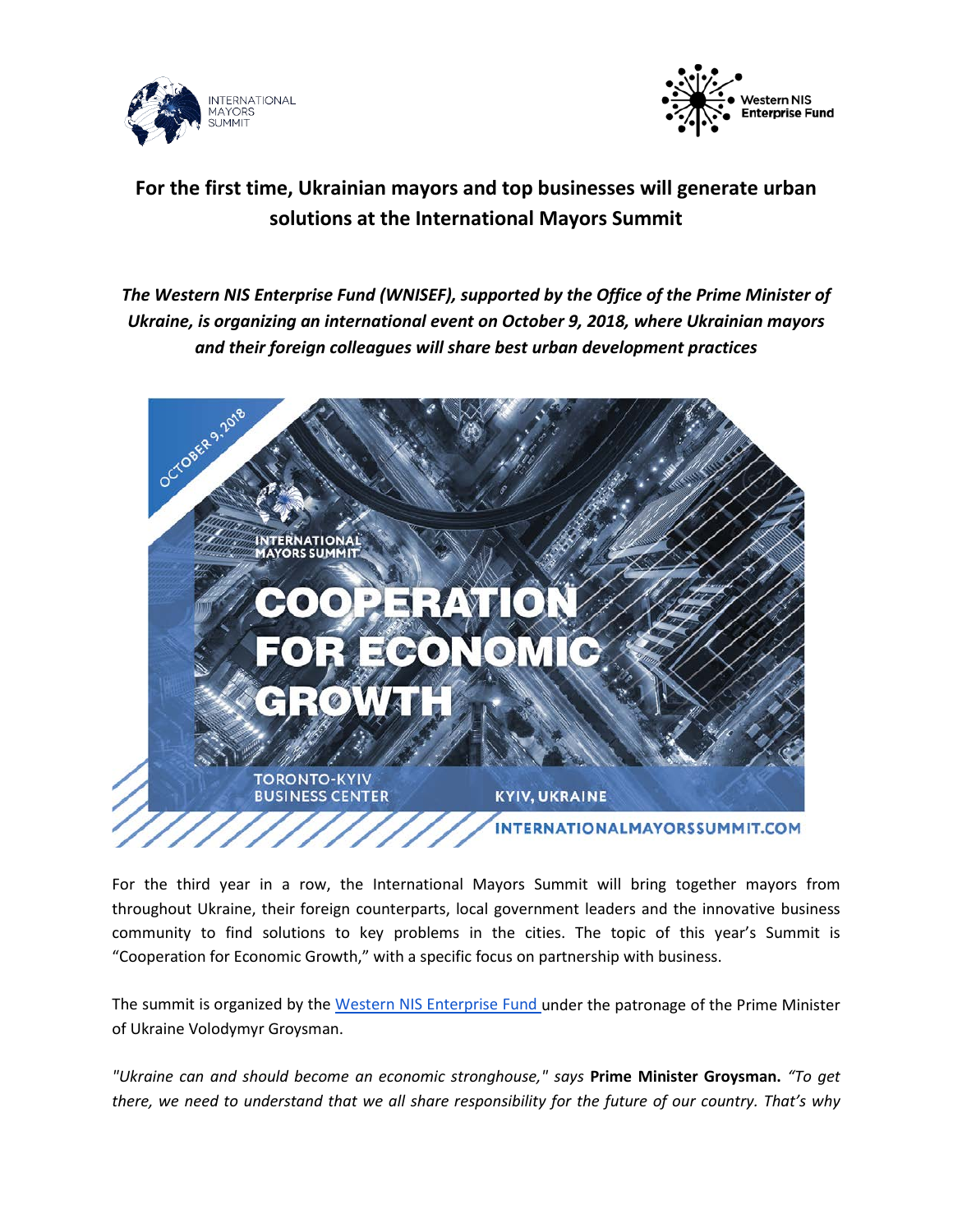



## **For the first time, Ukrainian mayors and top businesses will generate urban solutions at the International Mayors Summit**

*The Western NIS Enterprise Fund (WNISEF), supported by the Office of the Prime Minister of Ukraine, is organizing an international event on October 9, 2018, where Ukrainian mayors and their foreign colleagues will share best urban development practices*



For the third year in a row, the International Mayors Summit will bring together mayors from throughout Ukraine, their foreign counterparts, local government leaders and the innovative business community to find solutions to key problems in the cities. The topic of this year's Summit is "Cooperation for Economic Growth," with a specific focus on partnership with business.

The summit is organized by the [Western NIS Enterprise Fund u](http://wnisef.org/)nder the patronage of the Prime Minister of Ukraine Volodymyr Groysman.

*"Ukraine can and should become an economic stronghouse," says* **Prime Minister Groysman.** *"To get there, we need to understand that we all share responsibility for the future of our country. That's why*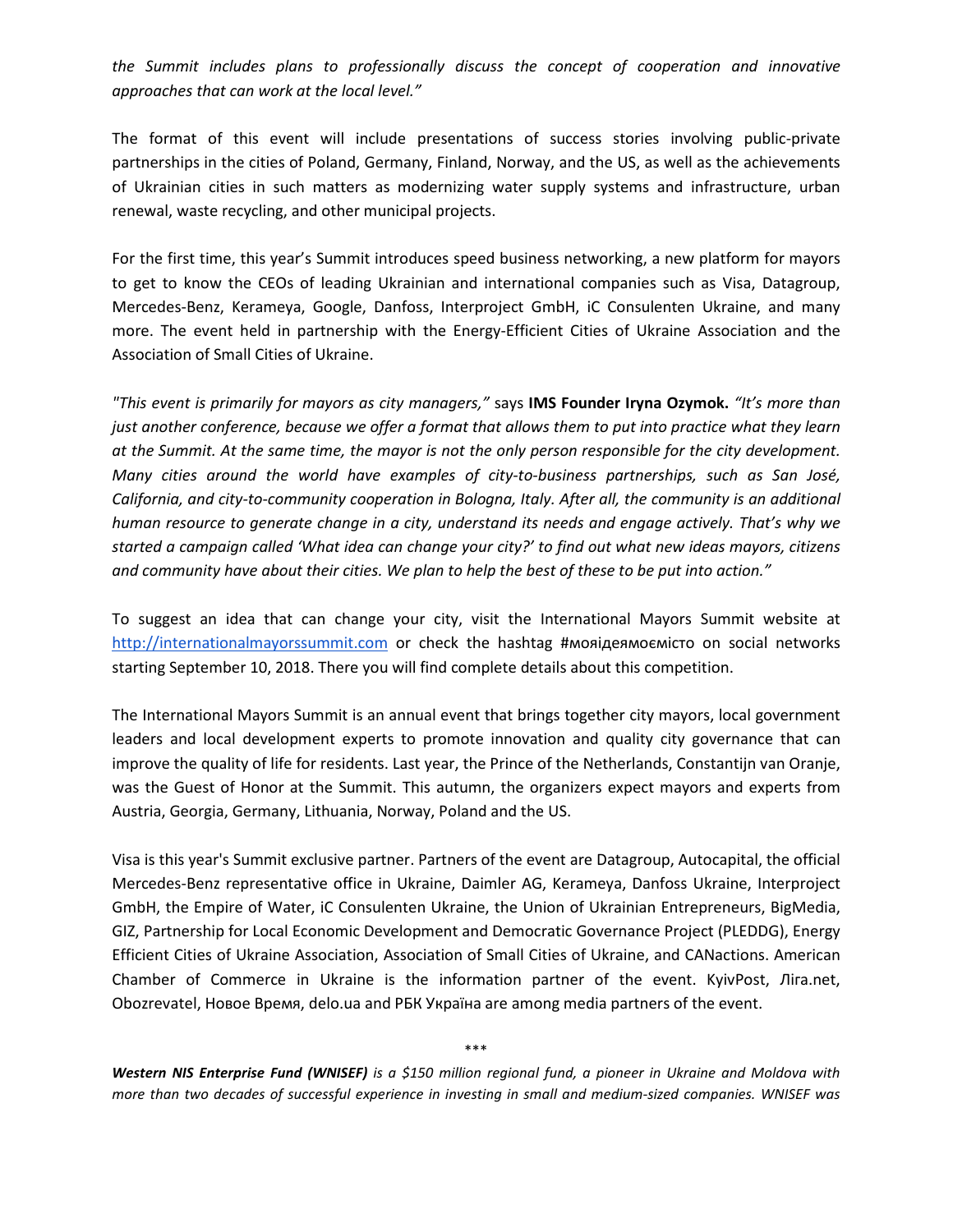*the Summit includes plans to professionally discuss the concept of cooperation and innovative approaches that can work at the local level."*

The format of this event will include presentations of success stories involving public-private partnerships in the cities of Poland, Germany, Finland, Norway, and the US, as well as the achievements of Ukrainian cities in such matters as modernizing water supply systems and infrastructure, urban renewal, waste recycling, and other municipal projects.

For the first time, this year's Summit introduces speed business networking, a new platform for mayors to get to know the CEOs of leading Ukrainian and international companies such as Visa, Datagroup, Mercedes-Benz, Kerameya, Google, Danfoss, Interproject GmbH, iC Consulenten Ukraine, and many more. The event held in partnership with the Energy-Efficient Cities of Ukraine Association and the Association of Small Cities of Ukraine.

*"This event is primarily for mayors as city managers,"* says **IMS Founder Iryna Ozymok.** *"It's more than just another conference, because we offer a format that allows them to put into practice what they learn at the Summit. At the same time, the mayor is not the only person responsible for the city development. Many cities around the world have examples of city-to-business partnerships, such as San José, California, and city-to-community cooperation in Bologna, Italy. After all, the community is an additional human resource to generate change in a city, understand its needs and engage actively. That's why we started a campaign called 'What idea can change your city?' to find out what new ideas mayors, citizens and community have about their cities. We plan to help the best of these to be put into action."*

To suggest an idea that can change your city, visit the International Mayors Summit website a[t](http://internationalmayorssummit.com/) [http://internationalmayorssummit.com](http://internationalmayorssummit.com/) or check the hashtag #мояідеямоємісто on social networks starting September 10, 2018. There you will find complete details about this competition.

The International Mayors Summit is an annual event that brings together city mayors, local government leaders and local development experts to promote innovation and quality city governance that can improve the quality of life for residents. Last year, the Prince of the Netherlands, Constantijn van Oranje, was the Guest of Honor at the Summit. This autumn, the organizers expect mayors and experts from Austria, Georgia, Germany, Lithuania, Norway, Poland and the US.

Visa is this year's Summit exclusive partner. Partners of the event are Datagroup, Autocapital, the official Mercedes-Benz representative office in Ukraine, Daimler AG, Kerameya, Danfoss Ukraine, Interproject GmbH, the Empire of Water, iC Consulenten Ukraine, the Union of Ukrainian Entrepreneurs, BigMedia, GIZ, Partnership for Local Economic Development and Democratic Governance Project (PLEDDG), Energy Efficient Cities of Ukraine Association, Association of Small Cities of Ukraine, and CANactions. American Chamber of Commerce in Ukraine is the information partner of the event. KyivPost, Ліга.net, Obozrevatel, Новое Время, delo.ua and РБК Україна are among media partners of the event.

\*\*\*

*Western NIS Enterprise Fund (WNISEF) is a \$150 million regional fund, a pioneer in Ukraine and Moldova with more than two decades of successful experience in investing in small and medium-sized companies. WNISEF was*